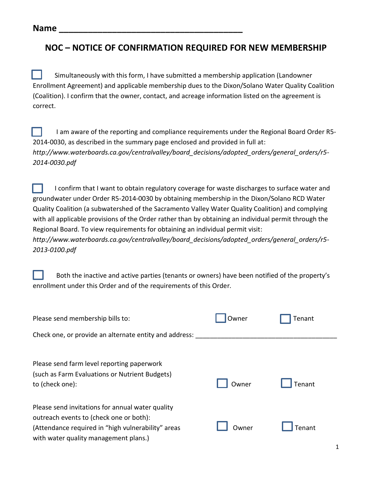## **NOC – NOTICE OF CONFIRMATION REQUIRED FOR NEW MEMBERSHIP**

Simultaneously with this form, I have submitted a membership application (Landowner Enrollment Agreement) and applicable membership dues to the Dixon/Solano Water Quality Coalition (Coalition). I confirm that the owner, contact, and acreage information listed on the agreement is correct.

I am aware of the reporting and compliance requirements under the Regional Board Order R5- 2014-0030, as described in the summary page enclosed and provided in full at: *http://www.waterboards.ca.gov/centralvalley/board\_decisions/adopted\_orders/general\_orders/r5- 2014-0030.pdf*

I confirm that I want to obtain regulatory coverage for waste discharges to surface water and groundwater under Order R5-2014-0030 by obtaining membership in the Dixon/Solano RCD Water Quality Coalition (a subwatershed of the Sacramento Valley Water Quality Coalition) and complying with all applicable provisions of the Order rather than by obtaining an individual permit through the Regional Board. To view requirements for obtaining an individual permit visit: *[http://www.waterboards.ca.gov/centralvalley/board\\_decisions/adopted\\_orders/general\\_orders/r5-](http://www.waterboards.ca.gov/centralvalley/board_decisions/adopted_orders/general_orders/r5-2013-0100.pdf) [2013-0100.pdf](http://www.waterboards.ca.gov/centralvalley/board_decisions/adopted_orders/general_orders/r5-2013-0100.pdf)*

Both the inactive and active parties (tenants or owners) have been notified of the property's enrollment under this Order and of the requirements of this Order*.*

| Please send membership bills to:                                                                                                                                                           | Owner | Tenant |  |
|--------------------------------------------------------------------------------------------------------------------------------------------------------------------------------------------|-------|--------|--|
| Check one, or provide an alternate entity and address:                                                                                                                                     |       |        |  |
| Please send farm level reporting paperwork<br>(such as Farm Evaluations or Nutrient Budgets)<br>to (check one):                                                                            | Owner | Tenant |  |
| Please send invitations for annual water quality<br>outreach events to (check one or both):<br>(Attendance required in "high vulnerability" areas<br>with water quality management plans.) | Owner | Tenant |  |